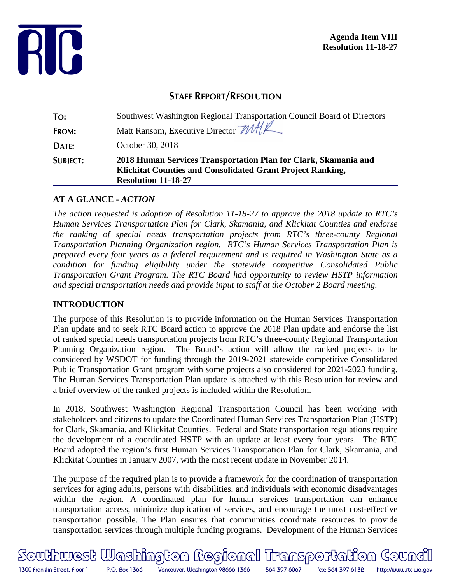

**Agenda Item VIII Resolution 11-18-27**

# **STAFF REPORT/RESOLUTION**

| TO:             | Southwest Washington Regional Transportation Council Board of Directors                                                                                     |
|-----------------|-------------------------------------------------------------------------------------------------------------------------------------------------------------|
| FROM:           | Matt Ransom, Executive Director MAY                                                                                                                         |
| DATE:           | October 30, 2018                                                                                                                                            |
| <b>SUBJECT:</b> | 2018 Human Services Transportation Plan for Clark, Skamania and<br>Klickitat Counties and Consolidated Grant Project Ranking,<br><b>Resolution 11-18-27</b> |

#### **AT A GLANCE -** *ACTION*

*The action requested is adoption of Resolution 11-18-27 to approve the 2018 update to RTC's Human Services Transportation Plan for Clark, Skamania, and Klickitat Counties and endorse the ranking of special needs transportation projects from RTC's three-county Regional Transportation Planning Organization region. RTC's Human Services Transportation Plan is prepared every four years as a federal requirement and is required in Washington State as a condition for funding eligibility under the statewide competitive Consolidated Public Transportation Grant Program. The RTC Board had opportunity to review HSTP information and special transportation needs and provide input to staff at the October 2 Board meeting.*

#### **INTRODUCTION**

The purpose of this Resolution is to provide information on the Human Services Transportation Plan update and to seek RTC Board action to approve the 2018 Plan update and endorse the list of ranked special needs transportation projects from RTC's three-county Regional Transportation Planning Organization region. The Board's action will allow the ranked projects to be considered by WSDOT for funding through the 2019-2021 statewide competitive Consolidated Public Transportation Grant program with some projects also considered for 2021-2023 funding. The Human Services Transportation Plan update is attached with this Resolution for review and a brief overview of the ranked projects is included within the Resolution.

In 2018, Southwest Washington Regional Transportation Council has been working with stakeholders and citizens to update the Coordinated Human Services Transportation Plan (HSTP) for Clark, Skamania, and Klickitat Counties. Federal and State transportation regulations require the development of a coordinated HSTP with an update at least every four years. The RTC Board adopted the region's first Human Services Transportation Plan for Clark, Skamania, and Klickitat Counties in January 2007, with the most recent update in November 2014.

The purpose of the required plan is to provide a framework for the coordination of transportation services for aging adults, persons with disabilities, and individuals with economic disadvantages within the region. A coordinated plan for human services transportation can enhance transportation access, minimize duplication of services, and encourage the most cost-effective transportation possible. The Plan ensures that communities coordinate resources to provide transportation services through multiple funding programs. Development of the Human Services

Southwest Washington Regional Transportation Goundi 1300 Franklin Street, Floor 1 P.O. Box 1366 Vancouver, Washington 98666-1366 564-397-6067 fax: 564-397-6132 http://www.rtc.wa.gov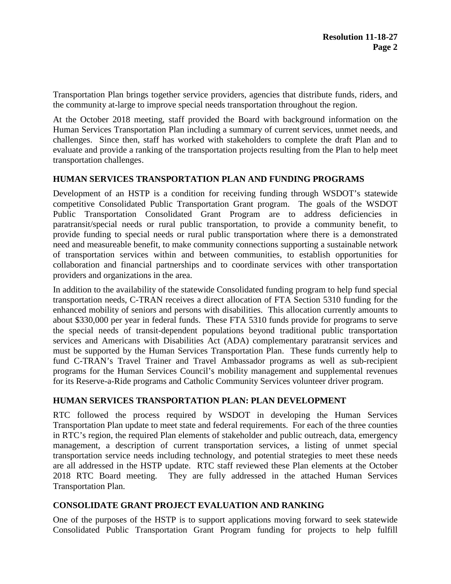Transportation Plan brings together service providers, agencies that distribute funds, riders, and the community at-large to improve special needs transportation throughout the region.

At the October 2018 meeting, staff provided the Board with background information on the Human Services Transportation Plan including a summary of current services, unmet needs, and challenges. Since then, staff has worked with stakeholders to complete the draft Plan and to evaluate and provide a ranking of the transportation projects resulting from the Plan to help meet transportation challenges.

#### **HUMAN SERVICES TRANSPORTATION PLAN AND FUNDING PROGRAMS**

Development of an HSTP is a condition for receiving funding through WSDOT's statewide competitive Consolidated Public Transportation Grant program. The goals of the WSDOT Public Transportation Consolidated Grant Program are to address deficiencies in paratransit/special needs or rural public transportation, to provide a community benefit, to provide funding to special needs or rural public transportation where there is a demonstrated need and measureable benefit, to make community connections supporting a sustainable network of transportation services within and between communities, to establish opportunities for collaboration and financial partnerships and to coordinate services with other transportation providers and organizations in the area.

In addition to the availability of the statewide Consolidated funding program to help fund special transportation needs, C-TRAN receives a direct allocation of FTA Section 5310 funding for the enhanced mobility of seniors and persons with disabilities. This allocation currently amounts to about \$330,000 per year in federal funds. These FTA 5310 funds provide for programs to serve the special needs of transit-dependent populations beyond traditional public transportation services and Americans with Disabilities Act (ADA) complementary paratransit services and must be supported by the Human Services Transportation Plan. These funds currently help to fund C-TRAN's Travel Trainer and Travel Ambassador programs as well as sub-recipient programs for the Human Services Council's mobility management and supplemental revenues for its Reserve-a-Ride programs and Catholic Community Services volunteer driver program.

#### **HUMAN SERVICES TRANSPORTATION PLAN: PLAN DEVELOPMENT**

RTC followed the process required by WSDOT in developing the Human Services Transportation Plan update to meet state and federal requirements. For each of the three counties in RTC's region, the required Plan elements of stakeholder and public outreach, data, emergency management, a description of current transportation services, a listing of unmet special transportation service needs including technology, and potential strategies to meet these needs are all addressed in the HSTP update. RTC staff reviewed these Plan elements at the October 2018 RTC Board meeting. They are fully addressed in the attached Human Services Transportation Plan.

#### **CONSOLIDATE GRANT PROJECT EVALUATION AND RANKING**

One of the purposes of the HSTP is to support applications moving forward to seek statewide Consolidated Public Transportation Grant Program funding for projects to help fulfill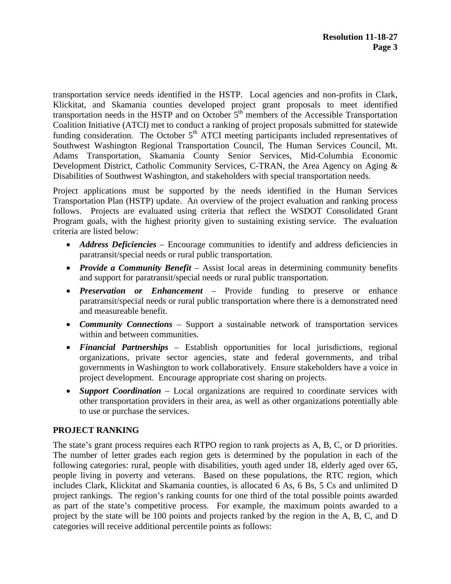transportation service needs identified in the HSTP. Local agencies and non-profits in Clark, Klickitat, and Skamania counties developed project grant proposals to meet identified transportation needs in the HSTP and on October  $5<sup>th</sup>$  members of the Accessible Transportation Coalition Initiative (ATCI) met to conduct a ranking of project proposals submitted for statewide funding consideration. The October  $5<sup>th</sup>$  ATCI meeting participants included representatives of Southwest Washington Regional Transportation Council, The Human Services Council, Mt. Adams Transportation, Skamania County Senior Services, Mid-Columbia Economic Development District, Catholic Community Services, C-TRAN, the Area Agency on Aging & Disabilities of Southwest Washington, and stakeholders with special transportation needs.

Project applications must be supported by the needs identified in the Human Services Transportation Plan (HSTP) update. An overview of the project evaluation and ranking process follows. Projects are evaluated using criteria that reflect the WSDOT Consolidated Grant Program goals, with the highest priority given to sustaining existing service. The evaluation criteria are listed below:

- *Address Deficiencies* Encourage communities to identify and address deficiencies in paratransit/special needs or rural public transportation.
- *Provide a Community Benefit* Assist local areas in determining community benefits and support for paratransit/special needs or rural public transportation.
- *Preservation or Enhancement* Provide funding to preserve or enhance paratransit/special needs or rural public transportation where there is a demonstrated need and measureable benefit.
- *Community Connections* Support a sustainable network of transportation services within and between communities.
- *Financial Partnerships* Establish opportunities for local jurisdictions, regional organizations, private sector agencies, state and federal governments, and tribal governments in Washington to work collaboratively. Ensure stakeholders have a voice in project development. Encourage appropriate cost sharing on projects.
- *Support Coordination* Local organizations are required to coordinate services with other transportation providers in their area, as well as other organizations potentially able to use or purchase the services.

#### **PROJECT RANKING**

The state's grant process requires each RTPO region to rank projects as A, B, C, or D priorities. The number of letter grades each region gets is determined by the population in each of the following categories: rural, people with disabilities, youth aged under 18, elderly aged over 65, people living in poverty and veterans. Based on these populations, the RTC region, which includes Clark, Klickitat and Skamania counties, is allocated 6 As, 6 Bs, 5 Cs and unlimited D project rankings. The region's ranking counts for one third of the total possible points awarded as part of the state's competitive process. For example, the maximum points awarded to a project by the state will be 100 points and projects ranked by the region in the A, B, C, and D categories will receive additional percentile points as follows: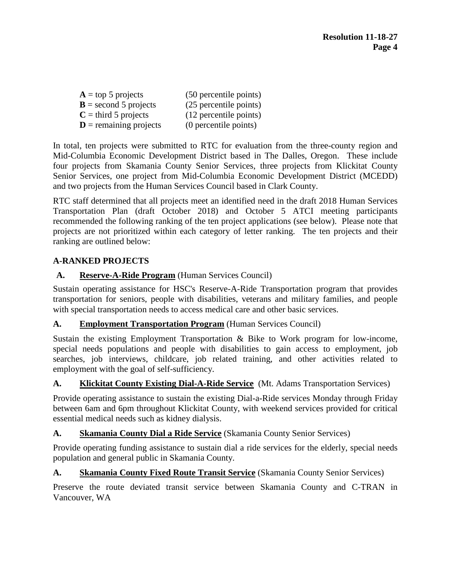| $A = top 5$ projects              | (50 percentile points) |
|-----------------------------------|------------------------|
| $\mathbf{B}$ = second 5 projects  | (25 percentile points) |
| $C =$ third 5 projects            | (12 percentile points) |
| $\mathbf{D}$ = remaining projects | (0 percentile points)  |

In total, ten projects were submitted to RTC for evaluation from the three-county region and Mid-Columbia Economic Development District based in The Dalles, Oregon. These include four projects from Skamania County Senior Services, three projects from Klickitat County Senior Services, one project from Mid-Columbia Economic Development District (MCEDD) and two projects from the Human Services Council based in Clark County.

RTC staff determined that all projects meet an identified need in the draft 2018 Human Services Transportation Plan (draft October 2018) and October 5 ATCI meeting participants recommended the following ranking of the ten project applications (see below). Please note that projects are not prioritized within each category of letter ranking. The ten projects and their ranking are outlined below:

## **A-RANKED PROJECTS**

## **A. Reserve-A-Ride Program** (Human Services Council)

Sustain operating assistance for HSC's Reserve-A-Ride Transportation program that provides transportation for seniors, people with disabilities, veterans and military families, and people with special transportation needs to access medical care and other basic services.

#### **A. Employment Transportation Program** (Human Services Council)

Sustain the existing Employment Transportation & Bike to Work program for low-income, special needs populations and people with disabilities to gain access to employment, job searches, job interviews, childcare, job related training, and other activities related to employment with the goal of self-sufficiency.

#### **A. Klickitat County Existing Dial-A-Ride Service** (Mt. Adams Transportation Services)

Provide operating assistance to sustain the existing Dial-a-Ride services Monday through Friday between 6am and 6pm throughout Klickitat County, with weekend services provided for critical essential medical needs such as kidney dialysis.

#### **A. Skamania County Dial a Ride Service** (Skamania County Senior Services)

Provide operating funding assistance to sustain dial a ride services for the elderly, special needs population and general public in Skamania County.

## **A. Skamania County Fixed Route Transit Service** (Skamania County Senior Services)

Preserve the route deviated transit service between Skamania County and C-TRAN in Vancouver, WA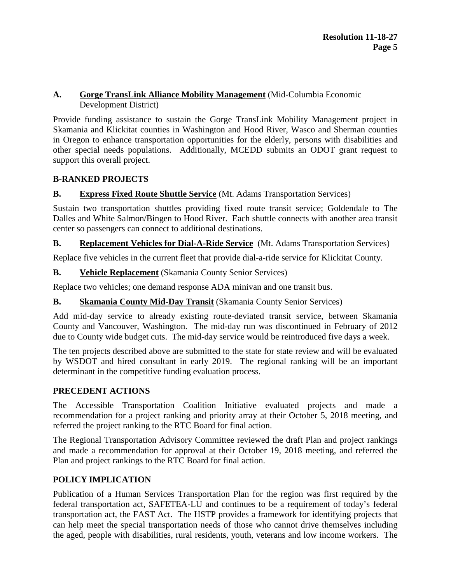## **A. Gorge TransLink Alliance Mobility Management** (Mid-Columbia Economic Development District)

Provide funding assistance to sustain the Gorge TransLink Mobility Management project in Skamania and Klickitat counties in Washington and Hood River, Wasco and Sherman counties in Oregon to enhance transportation opportunities for the elderly, persons with disabilities and other special needs populations. Additionally, MCEDD submits an ODOT grant request to support this overall project.

# **B-RANKED PROJECTS**

## **B. Express Fixed Route Shuttle Service** (Mt. Adams Transportation Services)

Sustain two transportation shuttles providing fixed route transit service; Goldendale to The Dalles and White Salmon/Bingen to Hood River. Each shuttle connects with another area transit center so passengers can connect to additional destinations.

## **B. Replacement Vehicles for Dial-A-Ride Service** (Mt. Adams Transportation Services)

Replace five vehicles in the current fleet that provide dial-a-ride service for Klickitat County.

## **B. Vehicle Replacement** (Skamania County Senior Services)

Replace two vehicles; one demand response ADA minivan and one transit bus.

## **B. Skamania County Mid-Day Transit** (Skamania County Senior Services)

Add mid-day service to already existing route-deviated transit service, between Skamania County and Vancouver, Washington. The mid-day run was discontinued in February of 2012 due to County wide budget cuts. The mid-day service would be reintroduced five days a week.

The ten projects described above are submitted to the state for state review and will be evaluated by WSDOT and hired consultant in early 2019. The regional ranking will be an important determinant in the competitive funding evaluation process.

## **PRECEDENT ACTIONS**

The Accessible Transportation Coalition Initiative evaluated projects and made a recommendation for a project ranking and priority array at their October 5, 2018 meeting, and referred the project ranking to the RTC Board for final action.

The Regional Transportation Advisory Committee reviewed the draft Plan and project rankings and made a recommendation for approval at their October 19, 2018 meeting, and referred the Plan and project rankings to the RTC Board for final action.

## **POLICY IMPLICATION**

Publication of a Human Services Transportation Plan for the region was first required by the federal transportation act, SAFETEA-LU and continues to be a requirement of today's federal transportation act, the FAST Act. The HSTP provides a framework for identifying projects that can help meet the special transportation needs of those who cannot drive themselves including the aged, people with disabilities, rural residents, youth, veterans and low income workers. The